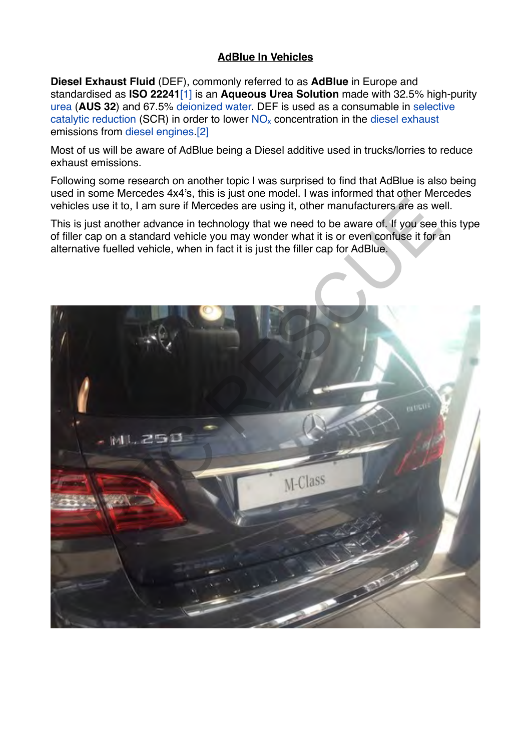## **AdBlue In Vehicles**

**Diesel Exhaust Fluid** (DEF), commonly referred to as **AdBlue** in Europe and standardised as **ISO 22241**[1] is an **Aqueous Urea Solution** made with 32.5% high-purity [urea](http://en.wikipedia.org/wiki/Urea) (**AUS 32**) and 67.5% [deionized water.](http://en.wikipedia.org/wiki/Deionized_water) DEF is used as a consumable in selective catalytic reduction (SCR) in order to lower  $NO<sub>x</sub>$  concentration in the diesel exhaust emissions from [diesel engines](http://en.wikipedia.org/wiki/Diesel_engine).[2]

Most of us will be aware of AdBlue being a Diesel additive used in trucks/lorries to reduce exhaust emissions.

Following some research on another topic I was surprised to find that AdBlue is also being used in some Mercedes 4x4's, this is just one model. I was informed that other Mercedes vehicles use it to, I am sure if Mercedes are using it, other manufacturers are as well.

This is just another advance in technology that we need to be aware of. If you see this type of filler cap on a standard vehicle you may wonder what it is or even confuse it for an alternative fuelled vehicle, when in fact it is just the filler cap for AdBlue.

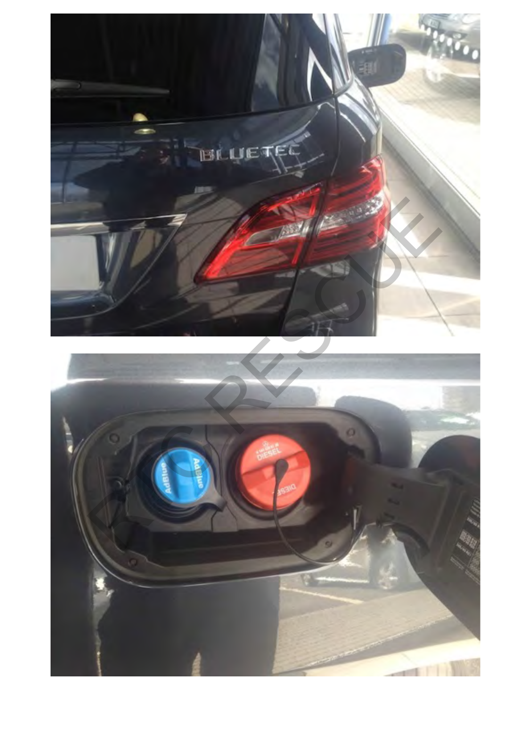